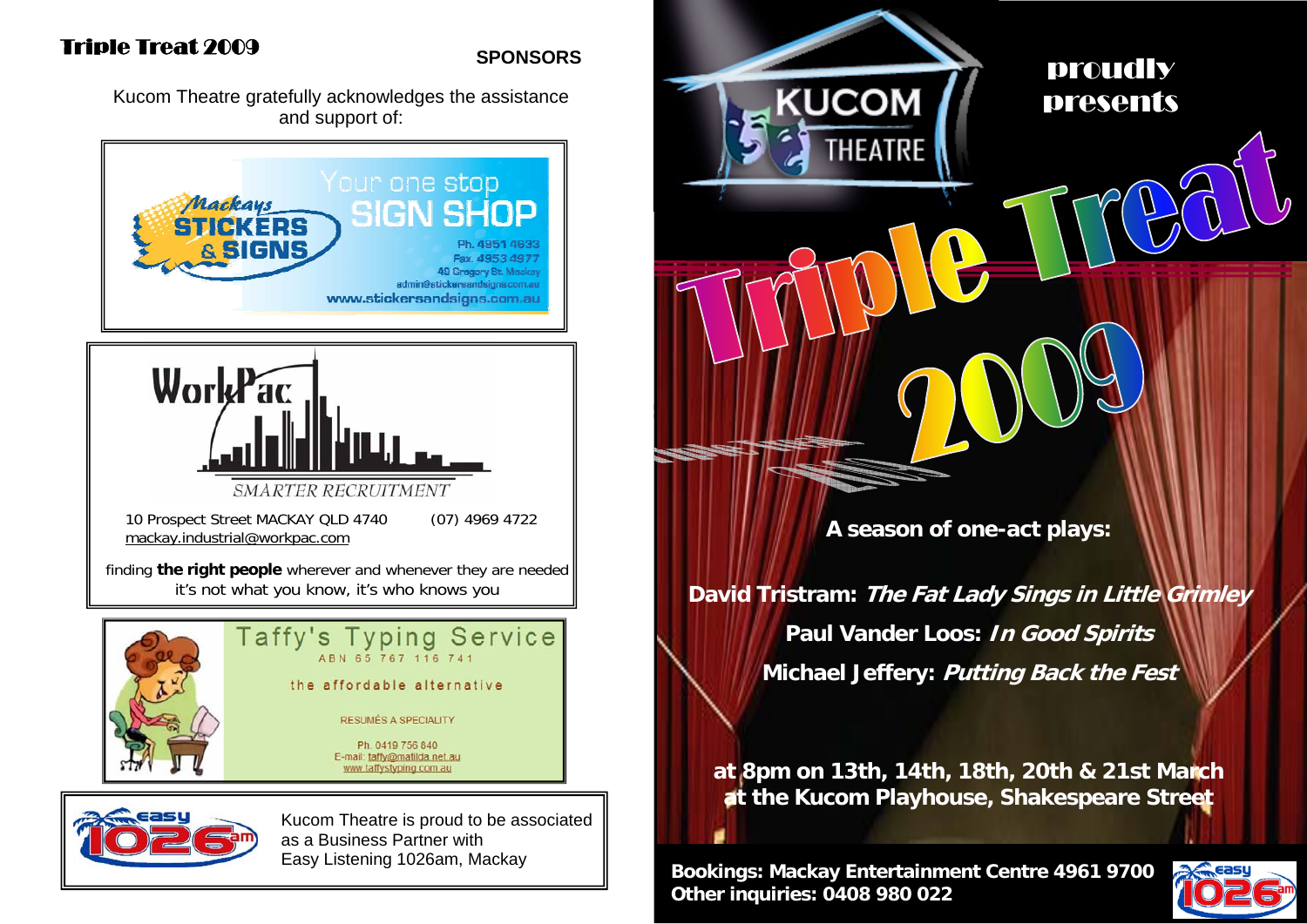### **SPONSORS**

Kucom Theatre gratefully acknowledges the assistance and support of:







Kucom Theatre is proud to be associated as a Business Partner with Easy Listening 1026am, Mackay

proudly presents

**A season of one-act plays:** 

**UCOM** 

THEATRE

**David Tristram: The Fat Lady Sings in Little Grimley Paul Vander Loos: In Good Spirits Michael Jeffery: Putting Back the Fest** 

**at 8pm on 13th, 14th, 18th, 20th & 21st March at the Kucom Playhouse, Shakespeare Street** 

**Bookings: Mackay Entertainment Centre 4961 9700 Other inquiries: 0408 980 022** 

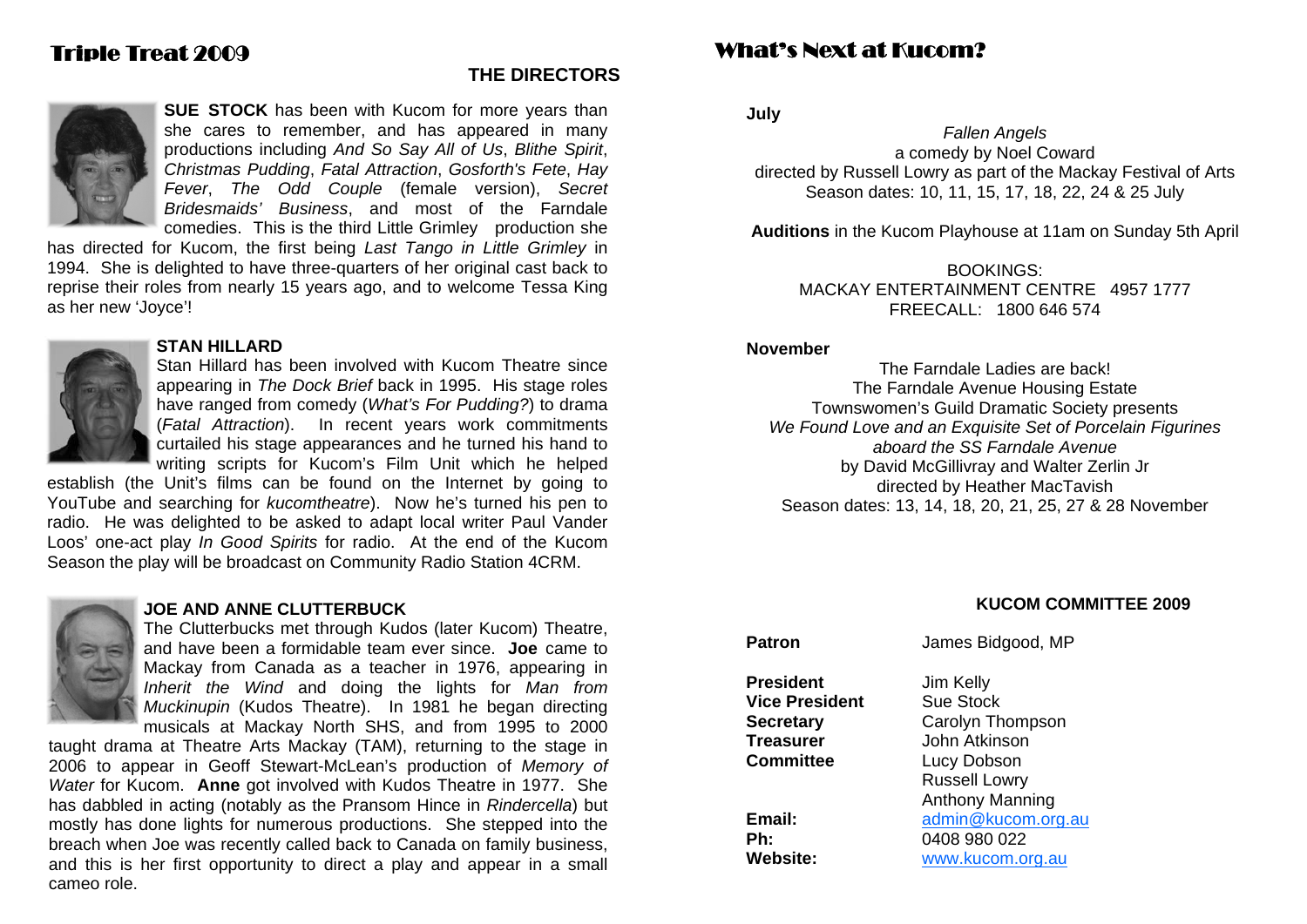#### **THE DIRECTORS**



**SUE STOCK** has been with Kucom for more years than she cares to remember, and has appeared in many productions including *And So Say All of Us*, *Blithe Spirit*, *Christmas Pudding*, *Fatal Attraction*, *Gosforth's Fete*, *Hay Fever*, *The Odd Couple* (female version), *Secret Bridesmaids' Business*, and most of the Farndale comedies. This is the third Little Grimley production she

has directed for Kucom, the first being *Last Tango in Little Grimley* in 1994. She is delighted to have three-quarters of her original cast back to reprise their roles from nearly 15 years ago, and to welcome Tessa King as her new 'Joyce'!



#### **STAN HILLARD**

Stan Hillard has been involved with Kucom Theatre since appearing in *The Dock Brief* back in 1995. His stage roles have ranged from comedy (*What's For Pudding?*) to drama (*Fatal Attraction*). In recent years work commitments curtailed his stage appearances and he turned his hand to writing scripts for Kucom's Film Unit which he helped

establish (the Unit's films can be found on the Internet by going to YouTube and searching for *kucomtheatre*). Now he's turned his pen to radio. He was delighted to be asked to adapt local writer Paul Vander Loos' one-act play *In Good Spirits* for radio. At the end of the Kucom Season the play will be broadcast on Community Radio Station 4CRM.



#### **JOE AND ANNE CLUTTERBUCK**

The Clutterbucks met through Kudos (later Kucom) Theatre, and have been a formidable team ever since. **Joe** came to Mackay from Canada as a teacher in 1976, appearing in *Inherit the Wind* and doing the lights for *Man from Muckinupin* (Kudos Theatre). In 1981 he began directing musicals at Mackay North SHS, and from 1995 to 2000

taught drama at Theatre Arts Mackay (TAM), returning to the stage in 2006 to appear in Geoff Stewart-McLean's production of *Memory of Water* for Kucom. **Anne** got involved with Kudos Theatre in 1977. She has dabbled in acting (notably as the Pransom Hince in *Rindercella*) but mostly has done lights for numerous productions. She stepped into the breach when Joe was recently called back to Canada on family business, and this is her first opportunity to direct a play and appear in a small cameo role.

## What's Next at Kucom?

**July** 

*Fallen Angels*  a comedy by Noel Coward directed by Russell Lowry as part of the Mackay Festival of Arts Season dates: 10, 11, 15, 17, 18, 22, 24 & 25 July

**Auditions** in the Kucom Playhouse at 11am on Sunday 5th April

BOOKINGS: MACKAY ENTERTAINMENT CENTRE 4957 1777 FREECALL: 1800 646 574

#### **November**

The Farndale Ladies are back! The Farndale Avenue Housing Estate Townswomen's Guild Dramatic Society presents *We Found Love and an Exquisite Set of Porcelain Figurines aboard the SS Farndale Avenue*by David McGillivray and Walter Zerlin Jr directed by Heather MacTavish Season dates: 13, 14, 18, 20, 21, 25, 27 & 28 November

#### **KUCOM COMMITTEE 2009**

# **Patron James Bidgood, MP**

**President** Jim Kelly **Vice President** Sue Stock **Treasurer** John Atkinson **Committee Lucy Dobson** 

**Secretary** Carolyn Thompson Russell Lowry Anthony Manning **Email:** admin@kucom.org.au **Ph:** 0408 980 022 **Website:** www.kucom.org.au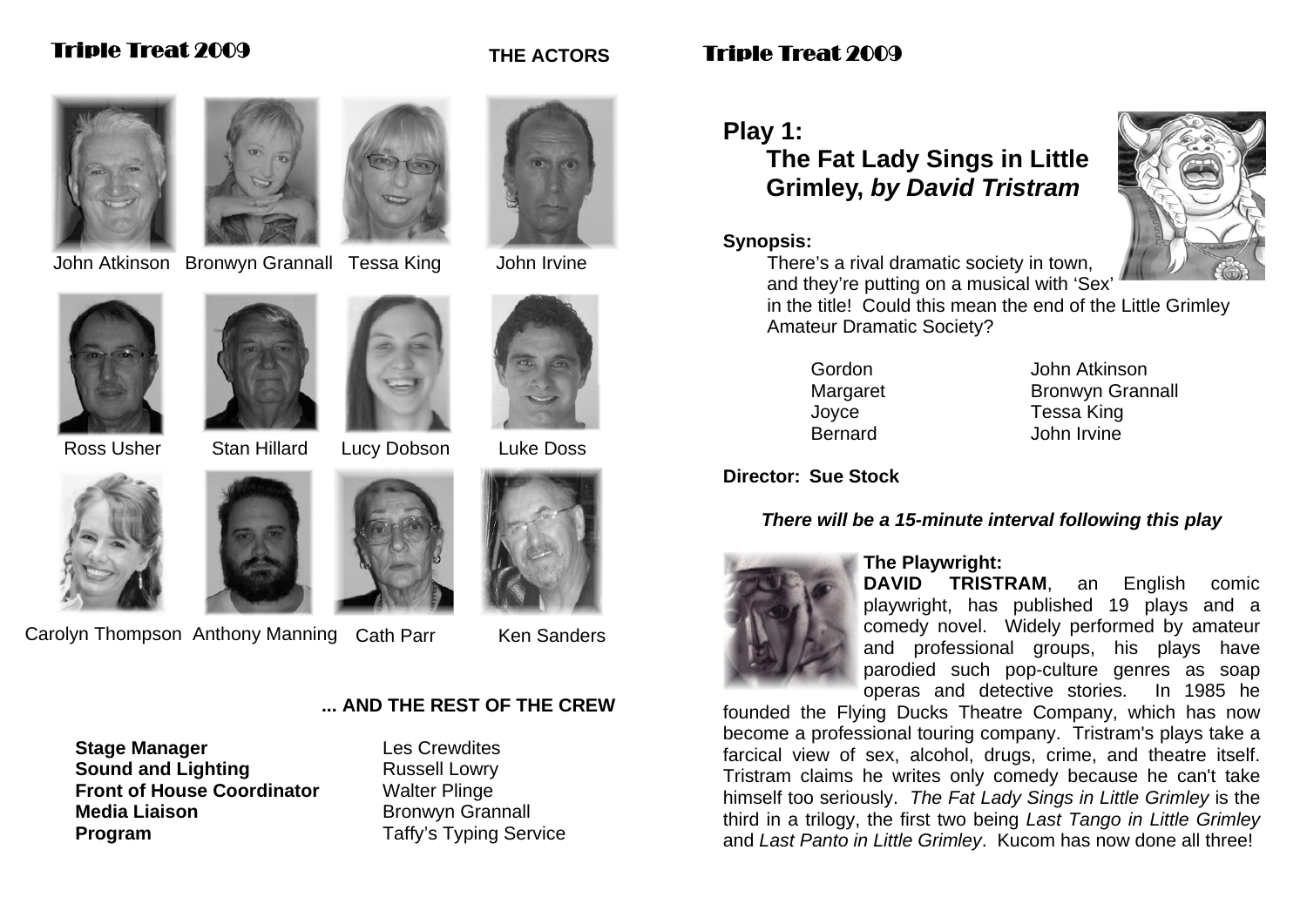

John Atkinson Bronwyn Grannall Tessa King John Irvine



**THE ACTORS** 



Ross Usher Stan Hillard Lucy Dobson Luke Doss





Carolyn Thompson Anthony Manning Cath Parr Ken Sanders

#### **... AND THE REST OF THE CREW**

**Stage Manager Les Crewdites Sound and Lighting <b>Example 2** Russell Lowry **Front of House Coordinator** Walter Plinge **Media Liaison** Bronwyn Grannall **Program**  Taffy's Typing Service

# Triple Treat 2009

## **Play 1:**

# **The Fat Lady Sings in Little Grimley,** *by David Tristram*

#### **Synopsis:**



in the title! Could this mean the end of the Little Grimley Amateur Dramatic Society?

Gordon John Atkinson Margaret Bronwyn Grannall Joyce Tessa King Bernard John Irvine

### **Director: Sue Stock**

### *There will be a 15-minute interval following this play*



#### **The Playwright:**

**DAVID TRISTRAM**, an English comic playwright, has published 19 plays and a comedy novel. Widely performed by amateur and professional groups, his plays have parodied such pop-culture genres as soap operas and detective stories. In 1985 he

founded the Flying Ducks Theatre Company, which has now become a professional touring company. Tristram's plays take a farcical view of sex, alcohol, drugs, crime, and theatre itself. Tristram claims he writes only comedy because he can't take himself too seriously. *The Fat Lady Sings in Little Grimley* is the third in a trilogy, the first two being *Last Tango in Little Grimley* and *Last Panto in Little Grimley*. Kucom has now done all three!